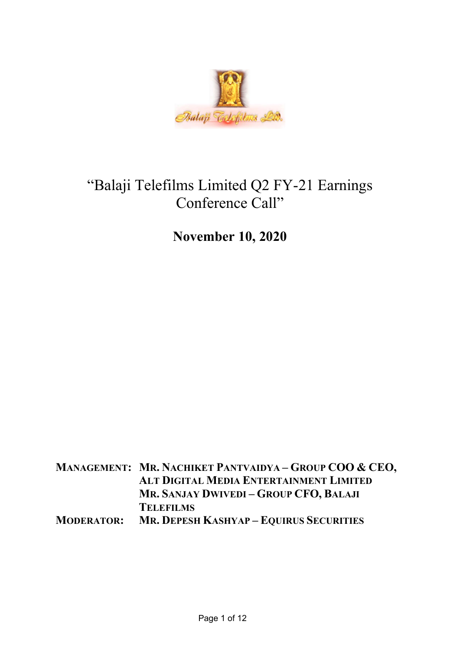

# "Balaji Telefilms Limited Q2 FY-21 Earnings Conference Call"

November 10, 2020

MANAGEMENT: MR. NACHIKET PANTVAIDYA – GROUP COO & CEO, ALT DIGITAL MEDIA ENTERTAINMENT LIMITED MR. SANJAY DWIVEDI – GROUP CFO, BALAJI **TELEFILMS** MODERATOR: MR. DEPESH KASHYAP – EQUIRUS SECURITIES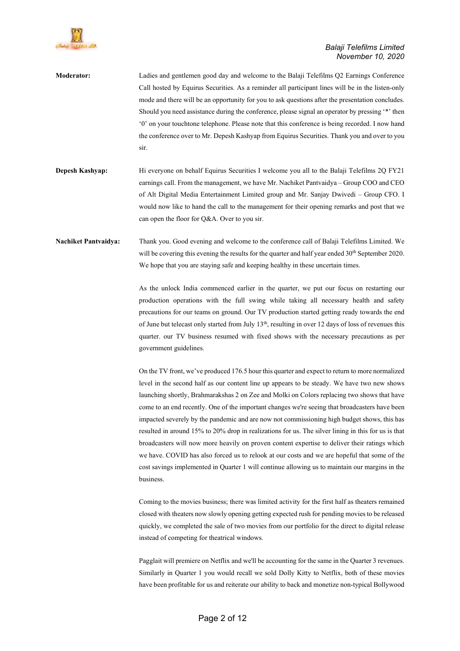

| <b>Moderator:</b>           | Ladies and gentlemen good day and welcome to the Balaji Telefilms Q2 Earnings Conference          |
|-----------------------------|---------------------------------------------------------------------------------------------------|
|                             | Call hosted by Equirus Securities. As a reminder all participant lines will be in the listen-only |
|                             | mode and there will be an opportunity for you to ask questions after the presentation concludes.  |
|                             | Should you need assistance during the conference, please signal an operator by pressing "*" then  |
|                             | """ on your touch tone telephone. Please note that this conference is being recorded. I now hand  |
|                             | the conference over to Mr. Depesh Kashyap from Equirus Securities. Thank you and over to you      |
|                             | sir.                                                                                              |
| <b>Depesh Kashyap:</b>      | Hi everyone on behalf Equirus Securities I welcome you all to the Balaji Telefilms 2Q FY21        |
|                             | earnings call. From the management, we have Mr. Nachiket Pantvaidya – Group COO and CEO           |
|                             | of Alt Digital Media Entertainment Limited group and Mr. Sanjay Dwivedi – Group CFO. I            |
|                             | would now like to hand the call to the management for their opening remarks and post that we      |
|                             | can open the floor for Q&A. Over to you sir.                                                      |
| <b>Nachiket Pantvaidva:</b> | Thank you. Good evening and welcome to the conference call of Balaji Telefilms Limited. We        |

government guidelines.

We hope that you are staying safe and keeping healthy in these uncertain times. As the unlock India commenced earlier in the quarter, we put our focus on restarting our production operations with the full swing while taking all necessary health and safety precautions for our teams on ground. Our TV production started getting ready towards the end of June but telecast only started from July 13<sup>th</sup>, resulting in over 12 days of loss of revenues this quarter. our TV business resumed with fixed shows with the necessary precautions as per

will be covering this evening the results for the quarter and half year ended 30<sup>th</sup> September 2020.

On the TV front, we've produced 176.5 hour this quarter and expect to return to more normalized level in the second half as our content line up appears to be steady. We have two new shows launching shortly, Brahmarakshas 2 on Zee and Molki on Colors replacing two shows that have come to an end recently. One of the important changes we're seeing that broadcasters have been impacted severely by the pandemic and are now not commissioning high budget shows, this has resulted in around 15% to 20% drop in realizations for us. The silver lining in this for us is that broadcasters will now more heavily on proven content expertise to deliver their ratings which we have. COVID has also forced us to relook at our costs and we are hopeful that some of the cost savings implemented in Quarter 1 will continue allowing us to maintain our margins in the business.

Coming to the movies business; there was limited activity for the first half as theaters remained closed with theaters now slowly opening getting expected rush for pending movies to be released quickly, we completed the sale of two movies from our portfolio for the direct to digital release instead of competing for theatrical windows.

Pagglait will premiere on Netflix and we'll be accounting for the same in the Quarter 3 revenues. Similarly in Quarter 1 you would recall we sold Dolly Kitty to Netflix, both of these movies have been profitable for us and reiterate our ability to back and monetize non-typical Bollywood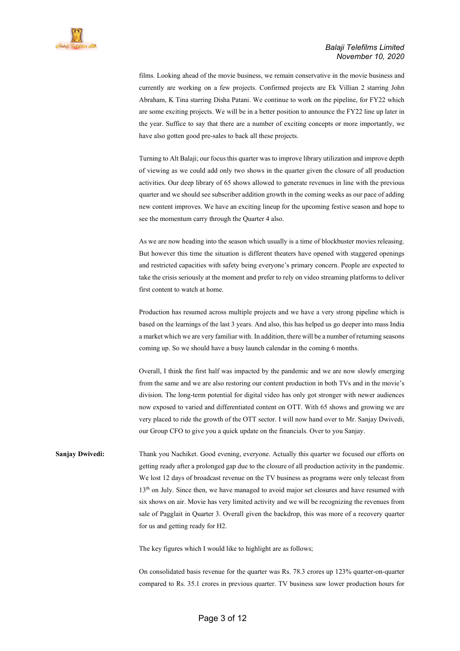

films. Looking ahead of the movie business, we remain conservative in the movie business and currently are working on a few projects. Confirmed projects are Ek Villian 2 starring John Abraham, K Tina starring Disha Patani. We continue to work on the pipeline, for FY22 which are some exciting projects. We will be in a better position to announce the FY22 line up later in the year. Suffice to say that there are a number of exciting concepts or more importantly, we have also gotten good pre-sales to back all these projects.

Turning to Alt Balaji; our focus this quarter was to improve library utilization and improve depth of viewing as we could add only two shows in the quarter given the closure of all production activities. Our deep library of 65 shows allowed to generate revenues in line with the previous quarter and we should see subscriber addition growth in the coming weeks as our pace of adding new content improves. We have an exciting lineup for the upcoming festive season and hope to see the momentum carry through the Quarter 4 also.

As we are now heading into the season which usually is a time of blockbuster movies releasing. But however this time the situation is different theaters have opened with staggered openings and restricted capacities with safety being everyone's primary concern. People are expected to take the crisis seriously at the moment and prefer to rely on video streaming platforms to deliver first content to watch at home.

Production has resumed across multiple projects and we have a very strong pipeline which is based on the learnings of the last 3 years. And also, this has helped us go deeper into mass India a market which we are very familiar with. In addition, there will be a number of returning seasons coming up. So we should have a busy launch calendar in the coming 6 months.

Overall, I think the first half was impacted by the pandemic and we are now slowly emerging from the same and we are also restoring our content production in both TVs and in the movie's division. The long-term potential for digital video has only got stronger with newer audiences now exposed to varied and differentiated content on OTT. With 65 shows and growing we are very placed to ride the growth of the OTT sector. I will now hand over to Mr. Sanjay Dwivedi, our Group CFO to give you a quick update on the financials. Over to you Sanjay.

Sanjay Dwivedi: Thank you Nachiket. Good evening, everyone. Actually this quarter we focused our efforts on getting ready after a prolonged gap due to the closure of all production activity in the pandemic. We lost 12 days of broadcast revenue on the TV business as programs were only telecast from 13<sup>th</sup> on July. Since then, we have managed to avoid major set closures and have resumed with six shows on air. Movie has very limited activity and we will be recognizing the revenues from sale of Pagglait in Quarter 3. Overall given the backdrop, this was more of a recovery quarter for us and getting ready for H2.

The key figures which I would like to highlight are as follows;

On consolidated basis revenue for the quarter was Rs. 78.3 crores up 123% quarter-on-quarter compared to Rs. 35.1 crores in previous quarter. TV business saw lower production hours for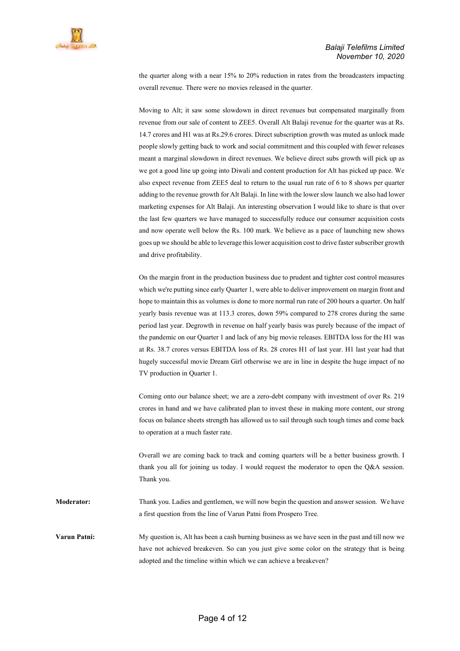the quarter along with a near 15% to 20% reduction in rates from the broadcasters impacting overall revenue. There were no movies released in the quarter.

Moving to Alt; it saw some slowdown in direct revenues but compensated marginally from revenue from our sale of content to ZEE5. Overall Alt Balaji revenue for the quarter was at Rs. 14.7 crores and H1 was at Rs.29.6 crores. Direct subscription growth was muted as unlock made people slowly getting back to work and social commitment and this coupled with fewer releases meant a marginal slowdown in direct revenues. We believe direct subs growth will pick up as we got a good line up going into Diwali and content production for Alt has picked up pace. We also expect revenue from ZEE5 deal to return to the usual run rate of 6 to 8 shows per quarter adding to the revenue growth for Alt Balaji. In line with the lower slow launch we also had lower marketing expenses for Alt Balaji. An interesting observation I would like to share is that over the last few quarters we have managed to successfully reduce our consumer acquisition costs and now operate well below the Rs. 100 mark. We believe as a pace of launching new shows goes up we should be able to leverage this lower acquisition cost to drive faster subscriber growth and drive profitability.

On the margin front in the production business due to prudent and tighter cost control measures which we're putting since early Quarter 1, were able to deliver improvement on margin front and hope to maintain this as volumes is done to more normal run rate of 200 hours a quarter. On half yearly basis revenue was at 113.3 crores, down 59% compared to 278 crores during the same period last year. Degrowth in revenue on half yearly basis was purely because of the impact of the pandemic on our Quarter 1 and lack of any big movie releases. EBITDA loss for the H1 was at Rs. 38.7 crores versus EBITDA loss of Rs. 28 crores H1 of last year. H1 last year had that hugely successful movie Dream Girl otherwise we are in line in despite the huge impact of no TV production in Quarter 1.

Coming onto our balance sheet; we are a zero-debt company with investment of over Rs. 219 crores in hand and we have calibrated plan to invest these in making more content, our strong focus on balance sheets strength has allowed us to sail through such tough times and come back to operation at a much faster rate.

Overall we are coming back to track and coming quarters will be a better business growth. I thank you all for joining us today. I would request the moderator to open the Q&A session. Thank you.

Moderator: Thank you. Ladies and gentlemen, we will now begin the question and answer session. We have a first question from the line of Varun Patni from Prospero Tree.

Varun Patni: My question is, Alt has been a cash burning business as we have seen in the past and till now we have not achieved breakeven. So can you just give some color on the strategy that is being adopted and the timeline within which we can achieve a breakeven?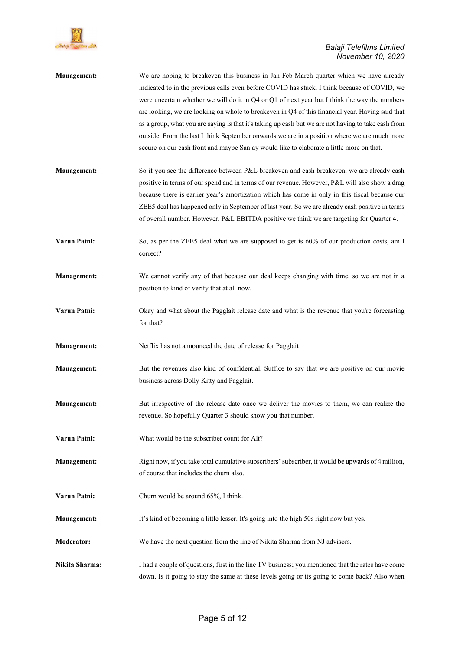

| Management:        | We are hoping to breakeven this business in Jan-Feb-March quarter which we have already<br>indicated to in the previous calls even before COVID has stuck. I think because of COVID, we<br>were uncertain whether we will do it in Q4 or Q1 of next year but I think the way the numbers<br>are looking, we are looking on whole to breakeven in Q4 of this financial year. Having said that<br>as a group, what you are saying is that it's taking up cash but we are not having to take cash from<br>outside. From the last I think September onwards we are in a position where we are much more<br>secure on our cash front and maybe Sanjay would like to elaborate a little more on that. |
|--------------------|-------------------------------------------------------------------------------------------------------------------------------------------------------------------------------------------------------------------------------------------------------------------------------------------------------------------------------------------------------------------------------------------------------------------------------------------------------------------------------------------------------------------------------------------------------------------------------------------------------------------------------------------------------------------------------------------------|
| Management:        | So if you see the difference between P&L breakeven and cash breakeven, we are already cash<br>positive in terms of our spend and in terms of our revenue. However, P&L will also show a drag<br>because there is earlier year's amortization which has come in only in this fiscal because our<br>ZEE5 deal has happened only in September of last year. So we are already cash positive in terms<br>of overall number. However, P&L EBITDA positive we think we are targeting for Quarter 4.                                                                                                                                                                                                   |
| Varun Patni:       | So, as per the ZEE5 deal what we are supposed to get is 60% of our production costs, am I<br>correct?                                                                                                                                                                                                                                                                                                                                                                                                                                                                                                                                                                                           |
| <b>Management:</b> | We cannot verify any of that because our deal keeps changing with time, so we are not in a<br>position to kind of verify that at all now.                                                                                                                                                                                                                                                                                                                                                                                                                                                                                                                                                       |
| Varun Patni:       | Okay and what about the Pagglait release date and what is the revenue that you're forecasting<br>for that?                                                                                                                                                                                                                                                                                                                                                                                                                                                                                                                                                                                      |
| Management:        | Netflix has not announced the date of release for Pagglait                                                                                                                                                                                                                                                                                                                                                                                                                                                                                                                                                                                                                                      |
| Management:        | But the revenues also kind of confidential. Suffice to say that we are positive on our movie<br>business across Dolly Kitty and Pagglait.                                                                                                                                                                                                                                                                                                                                                                                                                                                                                                                                                       |
| <b>Management:</b> | But irrespective of the release date once we deliver the movies to them, we can realize the<br>revenue. So hopefully Quarter 3 should show you that number.                                                                                                                                                                                                                                                                                                                                                                                                                                                                                                                                     |
| Varun Patni:       | What would be the subscriber count for Alt?                                                                                                                                                                                                                                                                                                                                                                                                                                                                                                                                                                                                                                                     |
| <b>Management:</b> | Right now, if you take total cumulative subscribers' subscriber, it would be upwards of 4 million,<br>of course that includes the churn also.                                                                                                                                                                                                                                                                                                                                                                                                                                                                                                                                                   |
| Varun Patni:       | Churn would be around 65%, I think.                                                                                                                                                                                                                                                                                                                                                                                                                                                                                                                                                                                                                                                             |
| <b>Management:</b> | It's kind of becoming a little lesser. It's going into the high 50s right now but yes.                                                                                                                                                                                                                                                                                                                                                                                                                                                                                                                                                                                                          |
| <b>Moderator:</b>  | We have the next question from the line of Nikita Sharma from NJ advisors.                                                                                                                                                                                                                                                                                                                                                                                                                                                                                                                                                                                                                      |
| Nikita Sharma:     | I had a couple of questions, first in the line TV business; you mentioned that the rates have come<br>down. Is it going to stay the same at these levels going or its going to come back? Also when                                                                                                                                                                                                                                                                                                                                                                                                                                                                                             |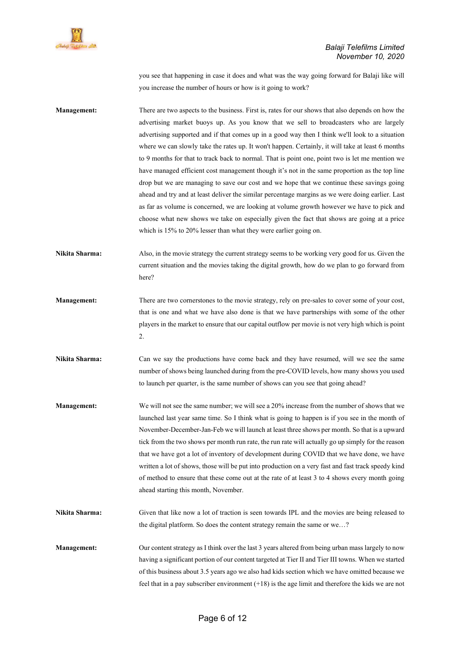

you see that happening in case it does and what was the way going forward for Balaji like will you increase the number of hours or how is it going to work?

Management: There are two aspects to the business. First is, rates for our shows that also depends on how the advertising market buoys up. As you know that we sell to broadcasters who are largely advertising supported and if that comes up in a good way then I think we'll look to a situation where we can slowly take the rates up. It won't happen. Certainly, it will take at least 6 months to 9 months for that to track back to normal. That is point one, point two is let me mention we have managed efficient cost management though it's not in the same proportion as the top line drop but we are managing to save our cost and we hope that we continue these savings going ahead and try and at least deliver the similar percentage margins as we were doing earlier. Last as far as volume is concerned, we are looking at volume growth however we have to pick and choose what new shows we take on especially given the fact that shows are going at a price which is 15% to 20% lesser than what they were earlier going on.

Nikita Sharma: Also, in the movie strategy the current strategy seems to be working very good for us. Given the current situation and the movies taking the digital growth, how do we plan to go forward from here?

- Management: There are two cornerstones to the movie strategy, rely on pre-sales to cover some of your cost, that is one and what we have also done is that we have partnerships with some of the other players in the market to ensure that our capital outflow per movie is not very high which is point 2.
- Nikita Sharma: Can we say the productions have come back and they have resumed, will we see the same number of shows being launched during from the pre-COVID levels, how many shows you used to launch per quarter, is the same number of shows can you see that going ahead?
- Management: We will not see the same number; we will see a 20% increase from the number of shows that we launched last year same time. So I think what is going to happen is if you see in the month of November-December-Jan-Feb we will launch at least three shows per month. So that is a upward tick from the two shows per month run rate, the run rate will actually go up simply for the reason that we have got a lot of inventory of development during COVID that we have done, we have written a lot of shows, those will be put into production on a very fast and fast track speedy kind of method to ensure that these come out at the rate of at least 3 to 4 shows every month going ahead starting this month, November.
- Nikita Sharma: Given that like now a lot of traction is seen towards IPL and the movies are being released to the digital platform. So does the content strategy remain the same or we…?
- Management: Our content strategy as I think over the last 3 years altered from being urban mass largely to now having a significant portion of our content targeted at Tier II and Tier III towns. When we started of this business about 3.5 years ago we also had kids section which we have omitted because we feel that in a pay subscriber environment  $(+18)$  is the age limit and therefore the kids we are not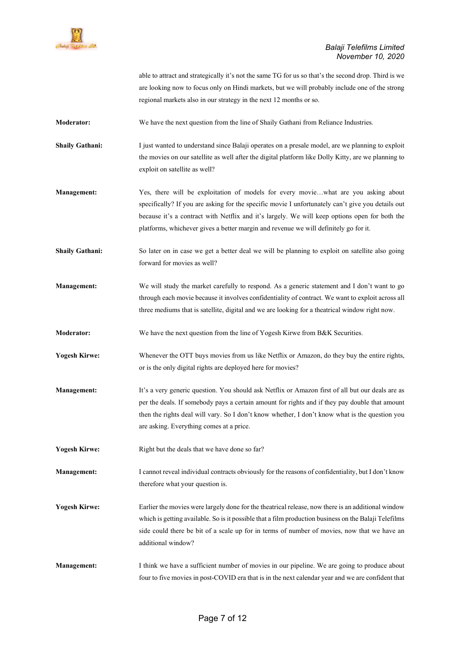

able to attract and strategically it's not the same TG for us so that's the second drop. Third is we are looking now to focus only on Hindi markets, but we will probably include one of the strong regional markets also in our strategy in the next 12 months or so.

Moderator: We have the next question from the line of Shaily Gathani from Reliance Industries.

Shaily Gathani: I just wanted to understand since Balaji operates on a presale model, are we planning to exploit the movies on our satellite as well after the digital platform like Dolly Kitty, are we planning to exploit on satellite as well?

Management: Yes, there will be exploitation of models for every movie...what are you asking about specifically? If you are asking for the specific movie I unfortunately can't give you details out because it's a contract with Netflix and it's largely. We will keep options open for both the platforms, whichever gives a better margin and revenue we will definitely go for it.

Shaily Gathani: So later on in case we get a better deal we will be planning to exploit on satellite also going forward for movies as well?

- Management: We will study the market carefully to respond. As a generic statement and I don't want to go through each movie because it involves confidentiality of contract. We want to exploit across all three mediums that is satellite, digital and we are looking for a theatrical window right now.
- Moderator: We have the next question from the line of Yogesh Kirwe from B&K Securities.
- Yogesh Kirwe: Whenever the OTT buys movies from us like Netflix or Amazon, do they buy the entire rights, or is the only digital rights are deployed here for movies?
- Management: It's a very generic question. You should ask Netflix or Amazon first of all but our deals are as per the deals. If somebody pays a certain amount for rights and if they pay double that amount then the rights deal will vary. So I don't know whether, I don't know what is the question you are asking. Everything comes at a price.
- Yogesh Kirwe: Right but the deals that we have done so far?

Management: I cannot reveal individual contracts obviously for the reasons of confidentiality, but I don't know therefore what your question is.

- Yogesh Kirwe: Earlier the movies were largely done for the theatrical release, now there is an additional window which is getting available. So is it possible that a film production business on the Balaji Telefilms side could there be bit of a scale up for in terms of number of movies, now that we have an additional window?
- Management: I think we have a sufficient number of movies in our pipeline. We are going to produce about four to five movies in post-COVID era that is in the next calendar year and we are confident that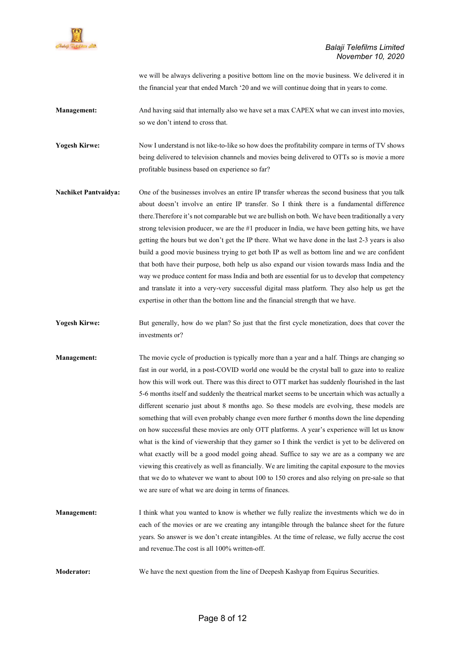

we will be always delivering a positive bottom line on the movie business. We delivered it in the financial year that ended March '20 and we will continue doing that in years to come.

Management: And having said that internally also we have set a max CAPEX what we can invest into movies, so we don't intend to cross that.

Yogesh Kirwe: Now I understand is not like-to-like so how does the profitability compare in terms of TV shows being delivered to television channels and movies being delivered to OTTs so is movie a more profitable business based on experience so far?

- Nachiket Pantvaidya: One of the businesses involves an entire IP transfer whereas the second business that you talk about doesn't involve an entire IP transfer. So I think there is a fundamental difference there.Therefore it's not comparable but we are bullish on both. We have been traditionally a very strong television producer, we are the #1 producer in India, we have been getting hits, we have getting the hours but we don't get the IP there. What we have done in the last 2-3 years is also build a good movie business trying to get both IP as well as bottom line and we are confident that both have their purpose, both help us also expand our vision towards mass India and the way we produce content for mass India and both are essential for us to develop that competency and translate it into a very-very successful digital mass platform. They also help us get the expertise in other than the bottom line and the financial strength that we have.
- Yogesh Kirwe: But generally, how do we plan? So just that the first cycle monetization, does that cover the investments or?
- Management: The movie cycle of production is typically more than a year and a half. Things are changing so fast in our world, in a post-COVID world one would be the crystal ball to gaze into to realize how this will work out. There was this direct to OTT market has suddenly flourished in the last 5-6 months itself and suddenly the theatrical market seems to be uncertain which was actually a different scenario just about 8 months ago. So these models are evolving, these models are something that will even probably change even more further 6 months down the line depending on how successful these movies are only OTT platforms. A year's experience will let us know what is the kind of viewership that they garner so I think the verdict is yet to be delivered on what exactly will be a good model going ahead. Suffice to say we are as a company we are viewing this creatively as well as financially. We are limiting the capital exposure to the movies that we do to whatever we want to about 100 to 150 crores and also relying on pre-sale so that we are sure of what we are doing in terms of finances.
- Management: I think what you wanted to know is whether we fully realize the investments which we do in each of the movies or are we creating any intangible through the balance sheet for the future years. So answer is we don't create intangibles. At the time of release, we fully accrue the cost and revenue.The cost is all 100% written-off.

Moderator: We have the next question from the line of Deepesh Kashyap from Equirus Securities.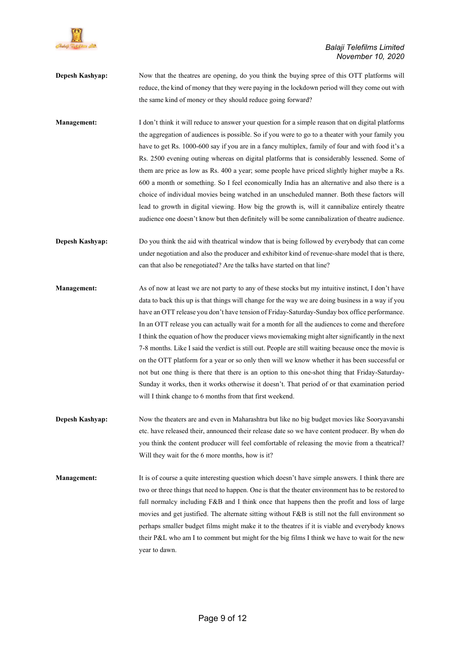

- **Depesh Kashyap:** Now that the theatres are opening, do you think the buying spree of this OTT platforms will reduce, the kind of money that they were paying in the lockdown period will they come out with the same kind of money or they should reduce going forward?
- Management: I don't think it will reduce to answer your question for a simple reason that on digital platforms the aggregation of audiences is possible. So if you were to go to a theater with your family you have to get Rs. 1000-600 say if you are in a fancy multiplex, family of four and with food it's a Rs. 2500 evening outing whereas on digital platforms that is considerably lessened. Some of them are price as low as Rs. 400 a year; some people have priced slightly higher maybe a Rs. 600 a month or something. So I feel economically India has an alternative and also there is a choice of individual movies being watched in an unscheduled manner. Both these factors will lead to growth in digital viewing. How big the growth is, will it cannibalize entirely theatre audience one doesn't know but then definitely will be some cannibalization of theatre audience.
- Depesh Kashyap: Do you think the aid with theatrical window that is being followed by everybody that can come under negotiation and also the producer and exhibitor kind of revenue-share model that is there, can that also be renegotiated? Are the talks have started on that line?
- Management: As of now at least we are not party to any of these stocks but my intuitive instinct, I don't have data to back this up is that things will change for the way we are doing business in a way if you have an OTT release you don't have tension of Friday-Saturday-Sunday box office performance. In an OTT release you can actually wait for a month for all the audiences to come and therefore I think the equation of how the producer views moviemaking might alter significantly in the next 7-8 months. Like I said the verdict is still out. People are still waiting because once the movie is on the OTT platform for a year or so only then will we know whether it has been successful or not but one thing is there that there is an option to this one-shot thing that Friday-Saturday-Sunday it works, then it works otherwise it doesn't. That period of or that examination period will I think change to 6 months from that first weekend.
- Depesh Kashyap: Now the theaters are and even in Maharashtra but like no big budget movies like Sooryavanshi etc. have released their, announced their release date so we have content producer. By when do you think the content producer will feel comfortable of releasing the movie from a theatrical? Will they wait for the 6 more months, how is it?
- Management: It is of course a quite interesting question which doesn't have simple answers. I think there are two or three things that need to happen. One is that the theater environment has to be restored to full normalcy including F&B and I think once that happens then the profit and loss of large movies and get justified. The alternate sitting without F&B is still not the full environment so perhaps smaller budget films might make it to the theatres if it is viable and everybody knows their P&L who am I to comment but might for the big films I think we have to wait for the new year to dawn.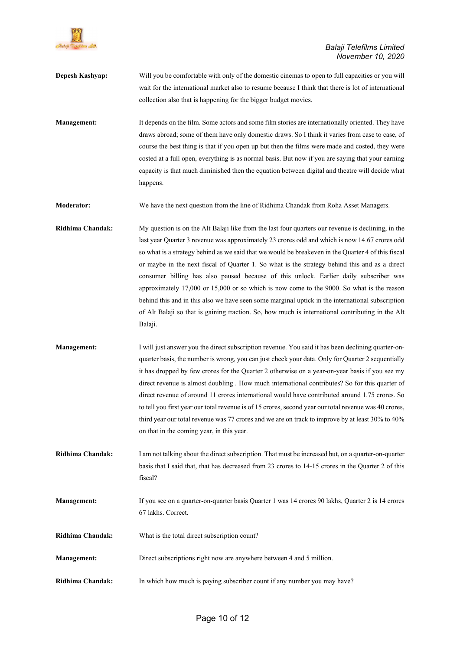

- **Depesh Kashyap:** Will you be comfortable with only of the domestic cinemas to open to full capacities or you will wait for the international market also to resume because I think that there is lot of international collection also that is happening for the bigger budget movies. Management: It depends on the film. Some actors and some film stories are internationally oriented. They have draws abroad; some of them have only domestic draws. So I think it varies from case to case, of course the best thing is that if you open up but then the films were made and costed, they were costed at a full open, everything is as normal basis. But now if you are saying that your earning capacity is that much diminished then the equation between digital and theatre will decide what happens. Moderator: We have the next question from the line of Ridhima Chandak from Roha Asset Managers. Ridhima Chandak: My question is on the Alt Balaji like from the last four quarters our revenue is declining, in the last year Quarter 3 revenue was approximately 23 crores odd and which is now 14.67 crores odd so what is a strategy behind as we said that we would be breakeven in the Quarter 4 of this fiscal or maybe in the next fiscal of Quarter 1. So what is the strategy behind this and as a direct consumer billing has also paused because of this unlock. Earlier daily subscriber was approximately 17,000 or 15,000 or so which is now come to the 9000. So what is the reason behind this and in this also we have seen some marginal uptick in the international subscription of Alt Balaji so that is gaining traction. So, how much is international contributing in the Alt
- Management: I will just answer you the direct subscription revenue. You said it has been declining quarter-onquarter basis, the number is wrong, you can just check your data. Only for Quarter 2 sequentially it has dropped by few crores for the Quarter 2 otherwise on a year-on-year basis if you see my direct revenue is almost doubling . How much international contributes? So for this quarter of direct revenue of around 11 crores international would have contributed around 1.75 crores. So to tell you first year our total revenue is of 15 crores, second year our total revenue was 40 crores, third year our total revenue was 77 crores and we are on track to improve by at least 30% to 40% on that in the coming year, in this year.
- Ridhima Chandak: I am not talking about the direct subscription. That must be increased but, on a quarter-on-quarter basis that I said that, that has decreased from 23 crores to 14-15 crores in the Quarter 2 of this fiscal?
- Management: If you see on a quarter-on-quarter basis Quarter 1 was 14 crores 90 lakhs, Quarter 2 is 14 crores 67 lakhs. Correct.
- Ridhima Chandak: What is the total direct subscription count?

Balaji.

- Management: Direct subscriptions right now are anywhere between 4 and 5 million.
- Ridhima Chandak: In which how much is paying subscriber count if any number you may have?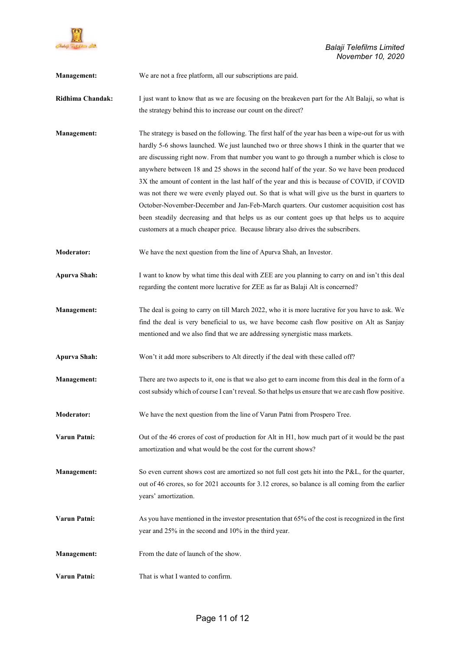

 Balaji Telefilms Limited November 10, 2020

Management: We are not a free platform, all our subscriptions are paid.

- Ridhima Chandak: I just want to know that as we are focusing on the breakeven part for the Alt Balaji, so what is the strategy behind this to increase our count on the direct?
- Management: The strategy is based on the following. The first half of the year has been a wipe-out for us with hardly 5-6 shows launched. We just launched two or three shows I think in the quarter that we are discussing right now. From that number you want to go through a number which is close to anywhere between 18 and 25 shows in the second half of the year. So we have been produced 3X the amount of content in the last half of the year and this is because of COVID, if COVID was not there we were evenly played out. So that is what will give us the burst in quarters to October-November-December and Jan-Feb-March quarters. Our customer acquisition cost has been steadily decreasing and that helps us as our content goes up that helps us to acquire customers at a much cheaper price. Because library also drives the subscribers.
- Moderator: We have the next question from the line of Apurva Shah, an Investor.
- Apurva Shah: I want to know by what time this deal with ZEE are you planning to carry on and isn't this deal regarding the content more lucrative for ZEE as far as Balaji Alt is concerned?
- Management: The deal is going to carry on till March 2022, who it is more lucrative for you have to ask. We find the deal is very beneficial to us, we have become cash flow positive on Alt as Sanjay mentioned and we also find that we are addressing synergistic mass markets.
- Apurva Shah: Won't it add more subscribers to Alt directly if the deal with these called off?
- Management: There are two aspects to it, one is that we also get to earn income from this deal in the form of a cost subsidy which of course I can't reveal. So that helps us ensure that we are cash flow positive.
- Moderator: We have the next question from the line of Varun Patni from Prospero Tree.
- Varun Patni: Out of the 46 crores of cost of production for Alt in H1, how much part of it would be the past amortization and what would be the cost for the current shows?
- Management: So even current shows cost are amortized so not full cost gets hit into the P&L, for the quarter, out of 46 crores, so for 2021 accounts for 3.12 crores, so balance is all coming from the earlier years' amortization.
- Varun Patni: As you have mentioned in the investor presentation that 65% of the cost is recognized in the first year and 25% in the second and 10% in the third year.
- Management: From the date of launch of the show.
- Varun Patni: That is what I wanted to confirm.